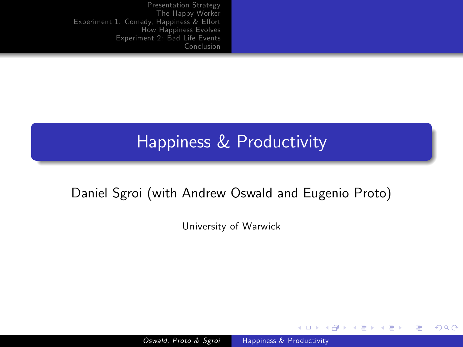#### Happiness & Productivity

#### Daniel Sgroi (with Andrew Oswald and Eugenio Proto)

University of Warwick

**K ロ ▶ | K 伊 ▶ | K 手** 

<span id="page-0-0"></span> $299$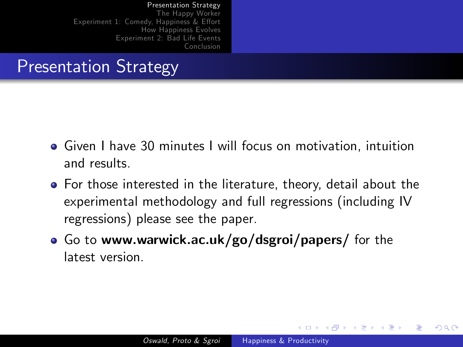#### Presentation Strategy

- Given I have 30 minutes I will focus on motivation, intuition and results.
- For those interested in the literature, theory, detail about the experimental methodology and full regressions (including IV regressions) please see the paper.
- Go to www.warwick.ac.uk/go/dsgroi/papers/ for the latest version.

<span id="page-1-0"></span>4 0 8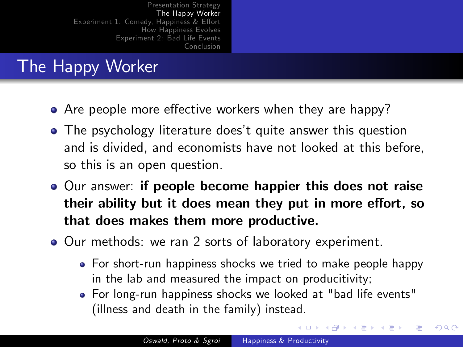# The Happy Worker

- $\bullet$  Are people more effective workers when they are happy?
- The psychology literature does't quite answer this question and is divided, and economists have not looked at this before, so this is an open question.
- Our answer: if people become happier this does not raise their ability but it does mean they put in more effort, so that does makes them more productive.
- Our methods: we ran 2 sorts of laboratory experiment.
	- For short-run happiness shocks we tried to make people happy in the lab and measured the impact on producitivity;
	- For long-run happiness shocks we looked at "bad life events" (illness and death in the family) instead.

<span id="page-2-0"></span>∢ロト ∢母ト ∢ヨト ∢ヨト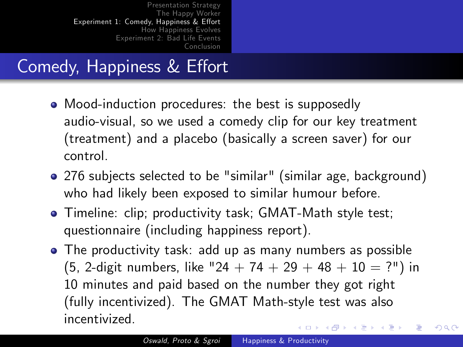## Comedy, Happiness & Effort

- Mood-induction procedures: the best is supposedly audio-visual, so we used a comedy clip for our key treatment (treatment) and a placebo (basically a screen saver) for our control.
- 276 subjects selected to be "similar" (similar age, background) who had likely been exposed to similar humour before.
- Timeline: clip; productivity task; GMAT-Math style test; questionnaire (including happiness report).
- <span id="page-3-0"></span>The productivity task: add up as many numbers as possible (5, 2-digit numbers, like "24 + 74 + 29 + 48 + 10 = ?") in 10 minutes and paid based on the number they got right (fully incentivized). The GMAT Math-style test was also incentivized. ∢ロト ∢母ト ∢ヨト ∢ヨト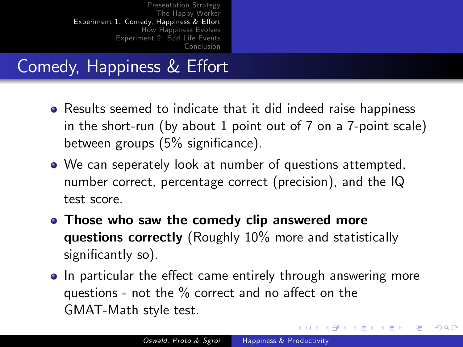## Comedy, Happiness & Effort

- Results seemed to indicate that it did indeed raise happiness in the short-run (by about 1 point out of 7 on a 7-point scale) between groups  $(5%$  significance).
- We can seperately look at number of questions attempted, number correct, percentage correct (precision), and the IQ test score.
- Those who saw the comedy clip answered more questions correctly (Roughly 10% more and statistically significantly so).
- In particular the effect came entirely through answering more questions - not the  $\%$  correct and no affect on the GMAT-Math style test.

**K ロ ▶ | K 伊 ▶ | K 手**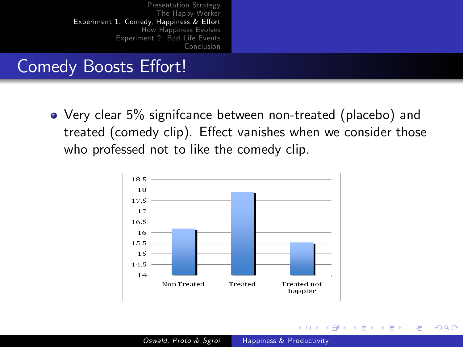## Comedy Boosts Effort!

Very clear 5% signifcance between non-treated (placebo) and treated (comedy clip). Effect vanishes when we consider those who professed not to like the comedy clip.



4日)

 $200$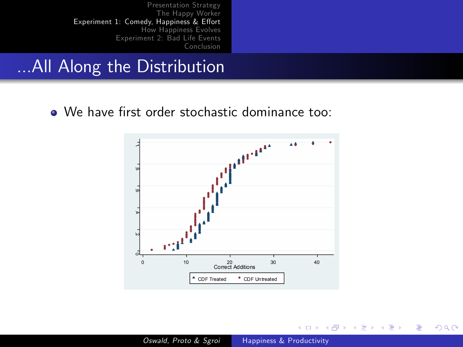#### ...All Along the Distribution

• We have first order stochastic dominance too:



4 0 8

→ 冊→

任

 $\sim$ ×. ∍ **B** ∍  $299$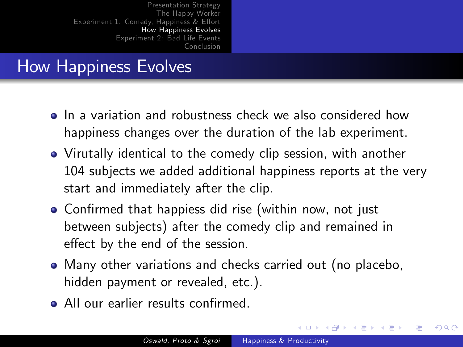## How Happiness Evolves

- **•** In a variation and robustness check we also considered how happiness changes over the duration of the lab experiment.
- Virutally identical to the comedy clip session, with another 104 subjects we added additional happiness reports at the very start and immediately after the clip.
- Confirmed that happiess did rise (within now, not just between subjects) after the comedy clip and remained in effect by the end of the session.
- Many other variations and checks carried out (no placebo, hidden payment or revealed, etc.).
- All our earlier results confirmed.

<span id="page-7-0"></span>( □ ) ( <sub>□</sub> )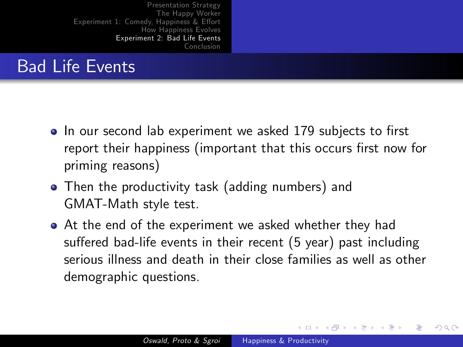## Bad Life Events

- In our second lab experiment we asked 179 subjects to first report their happiness (important that this occurs first now for priming reasons)
- Then the productivity task (adding numbers) and GMAT-Math style test.
- At the end of the experiment we asked whether they had suffered bad-life events in their recent (5 year) past including serious illness and death in their close families as well as other demographic questions.

<span id="page-8-0"></span>**∢ロ ▶ ∢伺 ▶ ∢∃ ▶**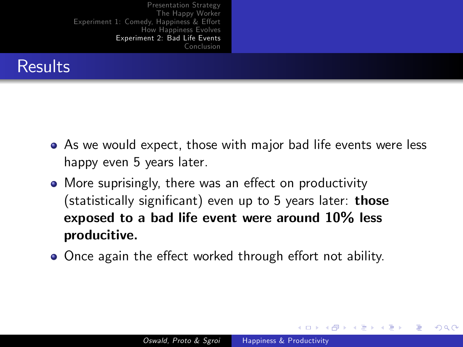

- As we would expect, those with major bad life events were less happy even 5 years later.
- More suprisingly, there was an effect on productivity  $(statistically significant)$  even up to 5 years later: those exposed to a bad life event were around 10% less producitive.
- Once again the effect worked through effort not ability.

**←ロ ▶ ← ← 冊 ▶**